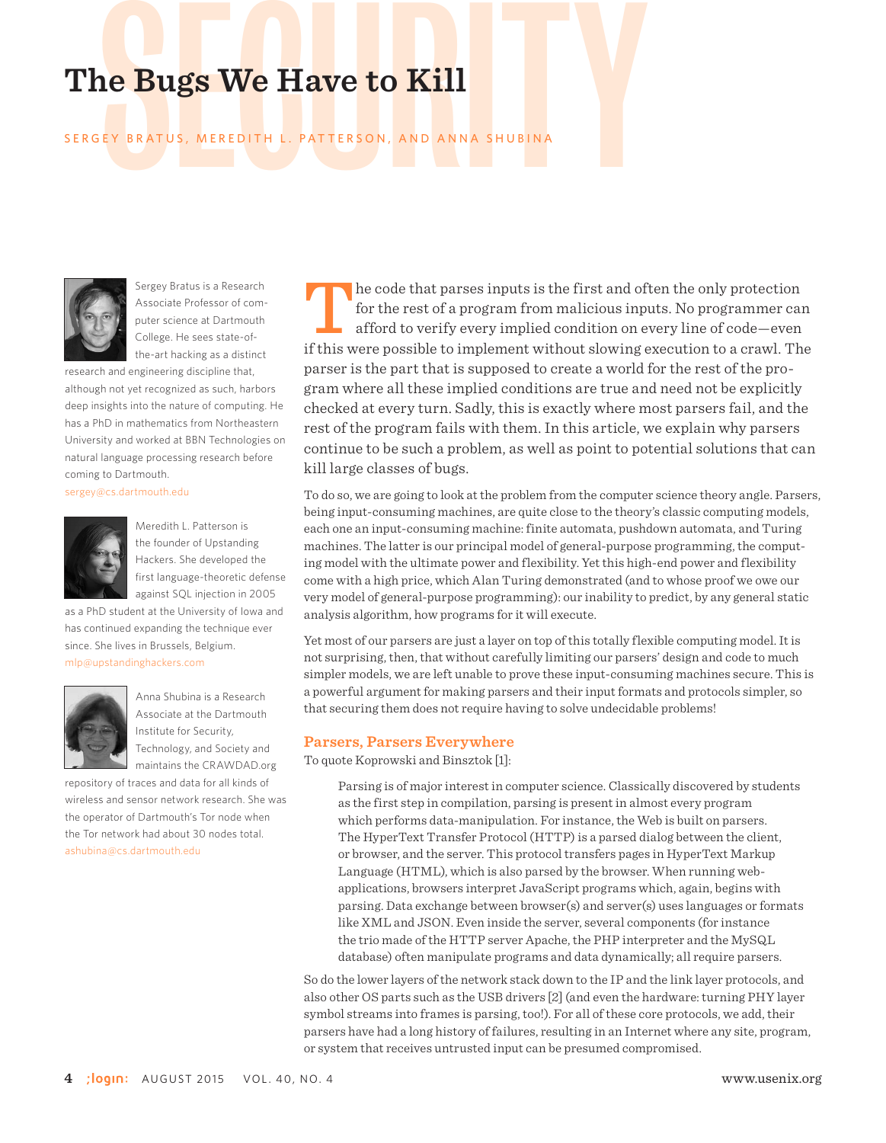# The Bugs We Have to Kill<br>SERGEY BRATUS, MEREDITH L. PATTERSON, AND ANNA SHUBINA

# SERGEY BR ATUS, MEREDITH L. PATTERSON, AND ANNA SHUBINA



Sergey Bratus is a Research Associate Professor of computer science at Dartmouth College. He sees state-ofthe-art hacking as a distinct

research and engineering discipline that, although not yet recognized as such, harbors deep insights into the nature of computing. He has a PhD in mathematics from Northeastern University and worked at BBN Technologies on natural language processing research before coming to Dartmouth.

sergey@cs.dartmouth.edu



Meredith L. Patterson is the founder of Upstanding Hackers. She developed the first language-theoretic defense against SQL injection in 2005

as a PhD student at the University of Iowa and has continued expanding the technique ever since. She lives in Brussels, Belgium. mlp@upstandinghackers.com



Anna Shubina is a Research Associate at the Dartmouth Institute for Security, Technology, and Society and maintains the CRAWDAD.org

repository of traces and data for all kinds of wireless and sensor network research. She was the operator of Dartmouth's Tor node when the Tor network had about 30 nodes total. ashubina@cs.dartmouth.edu

The code that parses inputs is the first and often the only protection<br>for the rest of a program from malicious inputs. No programmer can<br>afford to verify every implied condition on every line of code—even<br>if this were pos for the rest of a program from malicious inputs. No programmer can afford to verify every implied condition on every line of code—even if this were possible to implement without slowing execution to a crawl. The parser is the part that is supposed to create a world for the rest of the program where all these implied conditions are true and need not be explicitly checked at every turn. Sadly, this is exactly where most parsers fail, and the rest of the program fails with them. In this article, we explain why parsers continue to be such a problem, as well as point to potential solutions that can kill large classes of bugs.

To do so, we are going to look at the problem from the computer science theory angle. Parsers, being input-consuming machines, are quite close to the theory's classic computing models, each one an input-consuming machine: finite automata, pushdown automata, and Turing machines. The latter is our principal model of general-purpose programming, the computing model with the ultimate power and flexibility. Yet this high-end power and flexibility come with a high price, which Alan Turing demonstrated (and to whose proof we owe our very model of general-purpose programming): our inability to predict, by any general static analysis algorithm, how programs for it will execute.

Yet most of our parsers are just a layer on top of this totally flexible computing model. It is not surprising, then, that without carefully limiting our parsers' design and code to much simpler models, we are left unable to prove these input-consuming machines secure. This is a powerful argument for making parsers and their input formats and protocols simpler, so that securing them does not require having to solve undecidable problems!

#### **Parsers, Parsers Everywhere**

To quote Koprowski and Binsztok [1]:

Parsing is of major interest in computer science. Classically discovered by students as the first step in compilation, parsing is present in almost every program which performs data-manipulation. For instance, the Web is built on parsers. The HyperText Transfer Protocol (HTTP) is a parsed dialog between the client, or browser, and the server. This protocol transfers pages in HyperText Markup Language (HTML), which is also parsed by the browser. When running webapplications, browsers interpret JavaScript programs which, again, begins with parsing. Data exchange between browser(s) and server(s) uses languages or formats like XML and JSON. Even inside the server, several components (for instance the trio made of the HTTP server Apache, the PHP interpreter and the MySQL database) often manipulate programs and data dynamically; all require parsers.

So do the lower layers of the network stack down to the IP and the link layer protocols, and also other OS parts such as the USB drivers [2] (and even the hardware: turning PHY layer symbol streams into frames is parsing, too!). For all of these core protocols, we add, their parsers have had a long history of failures, resulting in an Internet where any site, program, or system that receives untrusted input can be presumed compromised.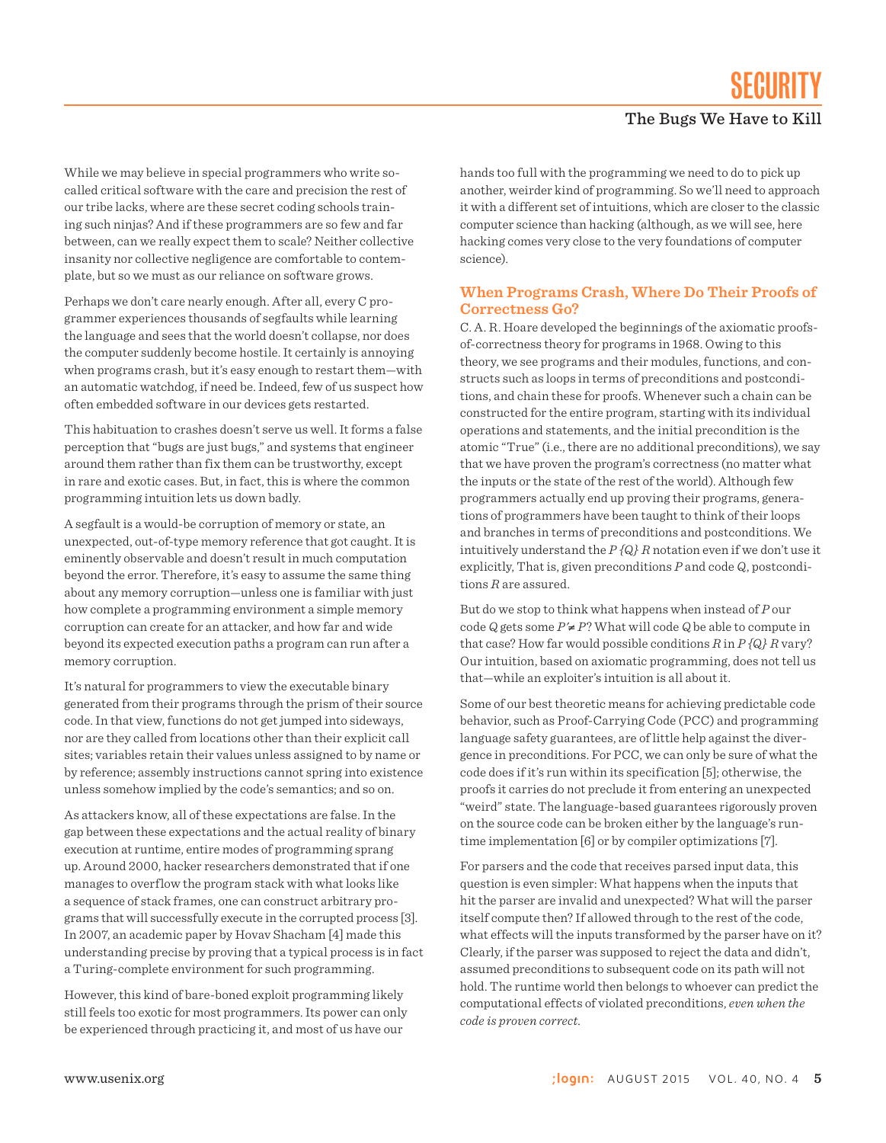While we may believe in special programmers who write socalled critical software with the care and precision the rest of our tribe lacks, where are these secret coding schools training such ninjas? And if these programmers are so few and far between, can we really expect them to scale? Neither collective insanity nor collective negligence are comfortable to contemplate, but so we must as our reliance on software grows.

Perhaps we don't care nearly enough. After all, every C programmer experiences thousands of segfaults while learning the language and sees that the world doesn't collapse, nor does the computer suddenly become hostile. It certainly is annoying when programs crash, but it's easy enough to restart them—with an automatic watchdog, if need be. Indeed, few of us suspect how often embedded software in our devices gets restarted.

This habituation to crashes doesn't serve us well. It forms a false perception that "bugs are just bugs," and systems that engineer around them rather than fix them can be trustworthy, except in rare and exotic cases. But, in fact, this is where the common programming intuition lets us down badly.

A segfault is a would-be corruption of memory or state, an unexpected, out-of-type memory reference that got caught. It is eminently observable and doesn't result in much computation beyond the error. Therefore, it's easy to assume the same thing about any memory corruption—unless one is familiar with just how complete a programming environment a simple memory corruption can create for an attacker, and how far and wide beyond its expected execution paths a program can run after a memory corruption.

It's natural for programmers to view the executable binary generated from their programs through the prism of their source code. In that view, functions do not get jumped into sideways, nor are they called from locations other than their explicit call sites; variables retain their values unless assigned to by name or by reference; assembly instructions cannot spring into existence unless somehow implied by the code's semantics; and so on.

As attackers know, all of these expectations are false. In the gap between these expectations and the actual reality of binary execution at runtime, entire modes of programming sprang up. Around 2000, hacker researchers demonstrated that if one manages to overflow the program stack with what looks like a sequence of stack frames, one can construct arbitrary programs that will successfully execute in the corrupted process [3]. In 2007, an academic paper by Hovav Shacham [4] made this understanding precise by proving that a typical process is in fact a Turing-complete environment for such programming.

However, this kind of bare-boned exploit programming likely still feels too exotic for most programmers. Its power can only be experienced through practicing it, and most of us have our

hands too full with the programming we need to do to pick up another, weirder kind of programming. So we'll need to approach it with a different set of intuitions, which are closer to the classic computer science than hacking (although, as we will see, here hacking comes very close to the very foundations of computer science).

#### **When Programs Crash, Where Do Their Proofs of Correctness Go?**

C. A. R. Hoare developed the beginnings of the axiomatic proofsof-correctness theory for programs in 1968. Owing to this theory, we see programs and their modules, functions, and constructs such as loops in terms of preconditions and postconditions, and chain these for proofs. Whenever such a chain can be constructed for the entire program, starting with its individual operations and statements, and the initial precondition is the atomic "True" (i.e., there are no additional preconditions), we say that we have proven the program's correctness (no matter what the inputs or the state of the rest of the world). Although few programmers actually end up proving their programs, generations of programmers have been taught to think of their loops and branches in terms of preconditions and postconditions. We intuitively understand the *P {Q} R* notation even if we don't use it explicitly, That is, given preconditions *P* and code *Q*, postconditions *R* are assured.

But do we stop to think what happens when instead of *P* our code  $Q$  gets some  $P' \neq P$ ? What will code  $Q$  be able to compute in that case? How far would possible conditions *R* in *P {Q} R* vary? Our intuition, based on axiomatic programming, does not tell us that—while an exploiter's intuition is all about it.

Some of our best theoretic means for achieving predictable code behavior, such as Proof-Carrying Code (PCC) and programming language safety guarantees, are of little help against the divergence in preconditions. For PCC, we can only be sure of what the code does if it's run within its specification [5]; otherwise, the proofs it carries do not preclude it from entering an unexpected "weird" state. The language-based guarantees rigorously proven on the source code can be broken either by the language's runtime implementation [6] or by compiler optimizations [7].

For parsers and the code that receives parsed input data, this question is even simpler: What happens when the inputs that hit the parser are invalid and unexpected? What will the parser itself compute then? If allowed through to the rest of the code, what effects will the inputs transformed by the parser have on it? Clearly, if the parser was supposed to reject the data and didn't, assumed preconditions to subsequent code on its path will not hold. The runtime world then belongs to whoever can predict the computational effects of violated preconditions, *even when the code is proven correct*.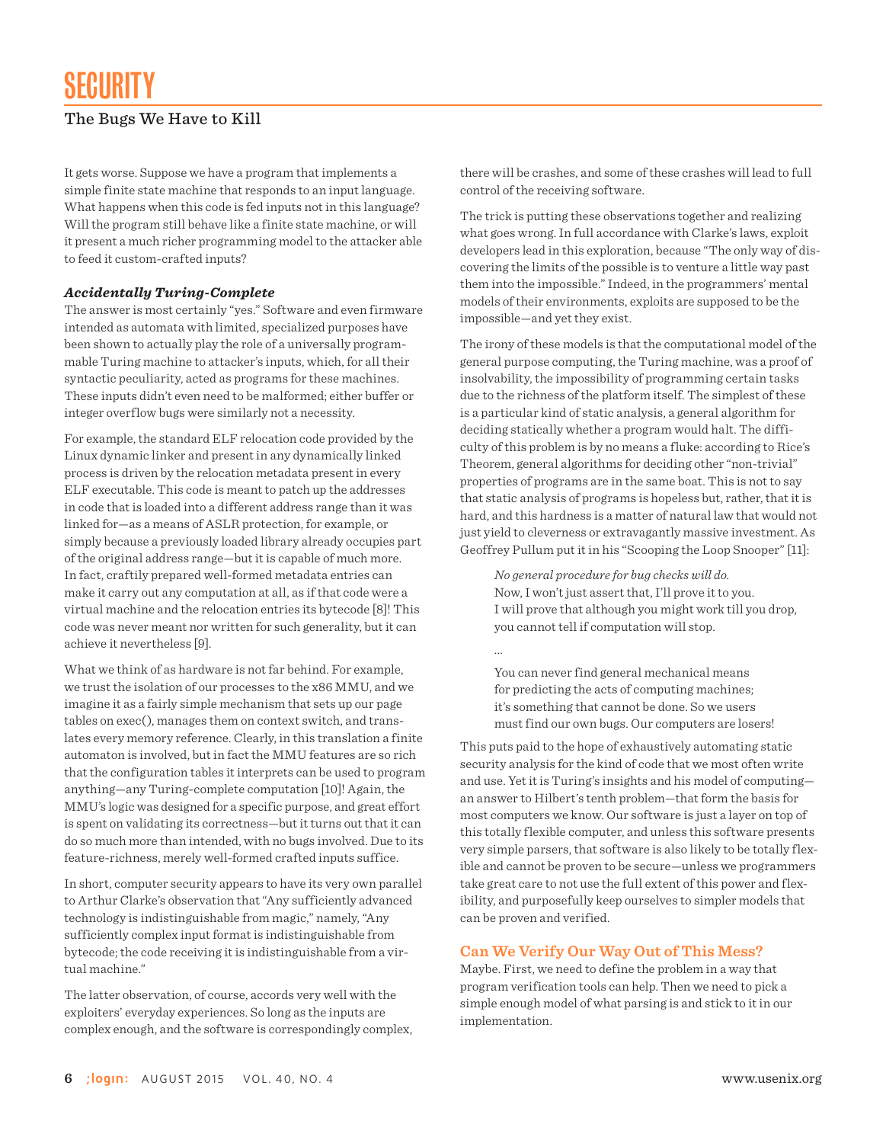It gets worse. Suppose we have a program that implements a simple finite state machine that responds to an input language. What happens when this code is fed inputs not in this language? Will the program still behave like a finite state machine, or will it present a much richer programming model to the attacker able to feed it custom-crafted inputs?

#### *Accidentally Turing-Complete*

The answer is most certainly "yes." Software and even firmware intended as automata with limited, specialized purposes have been shown to actually play the role of a universally programmable Turing machine to attacker's inputs, which, for all their syntactic peculiarity, acted as programs for these machines. These inputs didn't even need to be malformed; either buffer or integer overflow bugs were similarly not a necessity.

For example, the standard ELF relocation code provided by the Linux dynamic linker and present in any dynamically linked process is driven by the relocation metadata present in every ELF executable. This code is meant to patch up the addresses in code that is loaded into a different address range than it was linked for—as a means of ASLR protection, for example, or simply because a previously loaded library already occupies part of the original address range—but it is capable of much more. In fact, craftily prepared well-formed metadata entries can make it carry out any computation at all, as if that code were a virtual machine and the relocation entries its bytecode [8]! This code was never meant nor written for such generality, but it can achieve it nevertheless [9].

What we think of as hardware is not far behind. For example, we trust the isolation of our processes to the x86 MMU, and we imagine it as a fairly simple mechanism that sets up our page tables on exec(), manages them on context switch, and translates every memory reference. Clearly, in this translation a finite automaton is involved, but in fact the MMU features are so rich that the configuration tables it interprets can be used to program anything—any Turing-complete computation [10]! Again, the MMU's logic was designed for a specific purpose, and great effort is spent on validating its correctness—but it turns out that it can do so much more than intended, with no bugs involved. Due to its feature-richness, merely well-formed crafted inputs suffice.

In short, computer security appears to have its very own parallel to Arthur Clarke's observation that "Any sufficiently advanced technology is indistinguishable from magic," namely, "Any sufficiently complex input format is indistinguishable from bytecode; the code receiving it is indistinguishable from a virtual machine."

The latter observation, of course, accords very well with the exploiters' everyday experiences. So long as the inputs are complex enough, and the software is correspondingly complex, there will be crashes, and some of these crashes will lead to full control of the receiving software.

The trick is putting these observations together and realizing what goes wrong. In full accordance with Clarke's laws, exploit developers lead in this exploration, because "The only way of discovering the limits of the possible is to venture a little way past them into the impossible." Indeed, in the programmers' mental models of their environments, exploits are supposed to be the impossible—and yet they exist.

The irony of these models is that the computational model of the general purpose computing, the Turing machine, was a proof of insolvability, the impossibility of programming certain tasks due to the richness of the platform itself. The simplest of these is a particular kind of static analysis, a general algorithm for deciding statically whether a program would halt. The difficulty of this problem is by no means a fluke: according to Rice's Theorem, general algorithms for deciding other "non-trivial" properties of programs are in the same boat. This is not to say that static analysis of programs is hopeless but, rather, that it is hard, and this hardness is a matter of natural law that would not just yield to cleverness or extravagantly massive investment. As Geoffrey Pullum put it in his "Scooping the Loop Snooper" [11]:

*No general procedure for bug checks will do.* Now, I won't just assert that, I'll prove it to you. I will prove that although you might work till you drop, you cannot tell if computation will stop.

You can never find general mechanical means for predicting the acts of computing machines; it's something that cannot be done. So we users must find our own bugs. Our computers are losers!

...

This puts paid to the hope of exhaustively automating static security analysis for the kind of code that we most often write and use. Yet it is Turing's insights and his model of computing an answer to Hilbert's tenth problem—that form the basis for most computers we know. Our software is just a layer on top of this totally flexible computer, and unless this software presents very simple parsers, that software is also likely to be totally flexible and cannot be proven to be secure—unless we programmers take great care to not use the full extent of this power and flexibility, and purposefully keep ourselves to simpler models that can be proven and verified.

#### **Can We Verify Our Way Out of This Mess?**

Maybe. First, we need to define the problem in a way that program verification tools can help. Then we need to pick a simple enough model of what parsing is and stick to it in our implementation.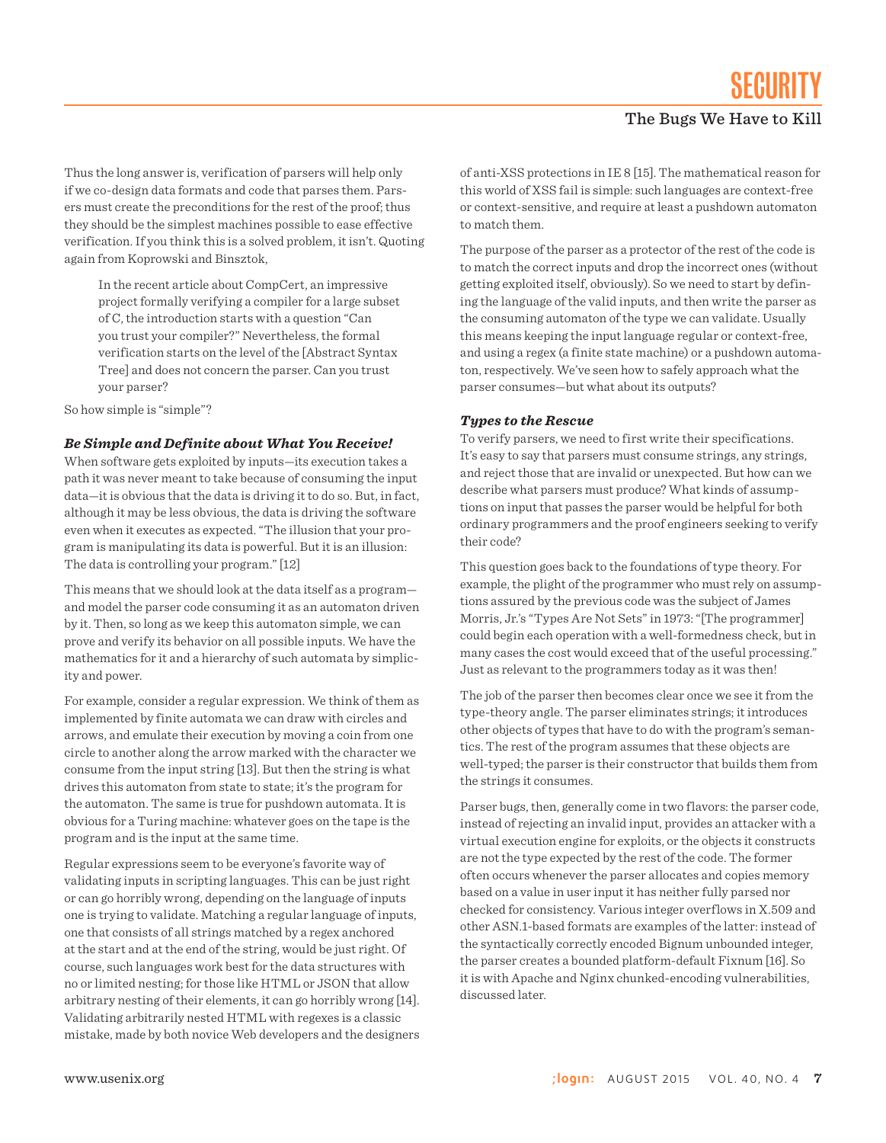Thus the long answer is, verification of parsers will help only if we co-design data formats and code that parses them. Parsers must create the preconditions for the rest of the proof; thus they should be the simplest machines possible to ease effective verification. If you think this is a solved problem, it isn't. Quoting again from Koprowski and Binsztok,

In the recent article about CompCert, an impressive project formally verifying a compiler for a large subset of C, the introduction starts with a question "Can you trust your compiler?" Nevertheless, the formal verification starts on the level of the [Abstract Syntax Tree] and does not concern the parser. Can you trust your parser?

So how simple is "simple"?

## *Be Simple and Definite about What You Receive!*

When software gets exploited by inputs—its execution takes a path it was never meant to take because of consuming the input data—it is obvious that the data is driving it to do so. But, in fact, although it may be less obvious, the data is driving the software even when it executes as expected. "The illusion that your program is manipulating its data is powerful. But it is an illusion: The data is controlling your program." [12]

This means that we should look at the data itself as a program and model the parser code consuming it as an automaton driven by it. Then, so long as we keep this automaton simple, we can prove and verify its behavior on all possible inputs. We have the mathematics for it and a hierarchy of such automata by simplicity and power.

For example, consider a regular expression. We think of them as implemented by finite automata we can draw with circles and arrows, and emulate their execution by moving a coin from one circle to another along the arrow marked with the character we consume from the input string [13]. But then the string is what drives this automaton from state to state; it's the program for the automaton. The same is true for pushdown automata. It is obvious for a Turing machine: whatever goes on the tape is the program and is the input at the same time.

Regular expressions seem to be everyone's favorite way of validating inputs in scripting languages. This can be just right or can go horribly wrong, depending on the language of inputs one is trying to validate. Matching a regular language of inputs, one that consists of all strings matched by a regex anchored at the start and at the end of the string, would be just right. Of course, such languages work best for the data structures with no or limited nesting; for those like HTML or JSON that allow arbitrary nesting of their elements, it can go horribly wrong [14]. Validating arbitrarily nested HTML with regexes is a classic mistake, made by both novice Web developers and the designers of anti-XSS protections in IE 8 [15]. The mathematical reason for this world of XSS fail is simple: such languages are context-free or context-sensitive, and require at least a pushdown automaton to match them.

The purpose of the parser as a protector of the rest of the code is to match the correct inputs and drop the incorrect ones (without getting exploited itself, obviously). So we need to start by defining the language of the valid inputs, and then write the parser as the consuming automaton of the type we can validate. Usually this means keeping the input language regular or context-free, and using a regex (a finite state machine) or a pushdown automaton, respectively. We've seen how to safely approach what the parser consumes—but what about its outputs?

#### *Types to the Rescue*

To verify parsers, we need to first write their specifications. It's easy to say that parsers must consume strings, any strings, and reject those that are invalid or unexpected. But how can we describe what parsers must produce? What kinds of assumptions on input that passes the parser would be helpful for both ordinary programmers and the proof engineers seeking to verify their code?

This question goes back to the foundations of type theory. For example, the plight of the programmer who must rely on assumptions assured by the previous code was the subject of James Morris, Jr.'s "Types Are Not Sets" in 1973: "[The programmer] could begin each operation with a well-formedness check, but in many cases the cost would exceed that of the useful processing." Just as relevant to the programmers today as it was then!

The job of the parser then becomes clear once we see it from the type-theory angle. The parser eliminates strings; it introduces other objects of types that have to do with the program's semantics. The rest of the program assumes that these objects are well-typed; the parser is their constructor that builds them from the strings it consumes.

Parser bugs, then, generally come in two flavors: the parser code, instead of rejecting an invalid input, provides an attacker with a virtual execution engine for exploits, or the objects it constructs are not the type expected by the rest of the code. The former often occurs whenever the parser allocates and copies memory based on a value in user input it has neither fully parsed nor checked for consistency. Various integer overflows in X.509 and other ASN.1-based formats are examples of the latter: instead of the syntactically correctly encoded Bignum unbounded integer, the parser creates a bounded platform-default Fixnum [16]. So it is with Apache and Nginx chunked-encoding vulnerabilities, discussed later.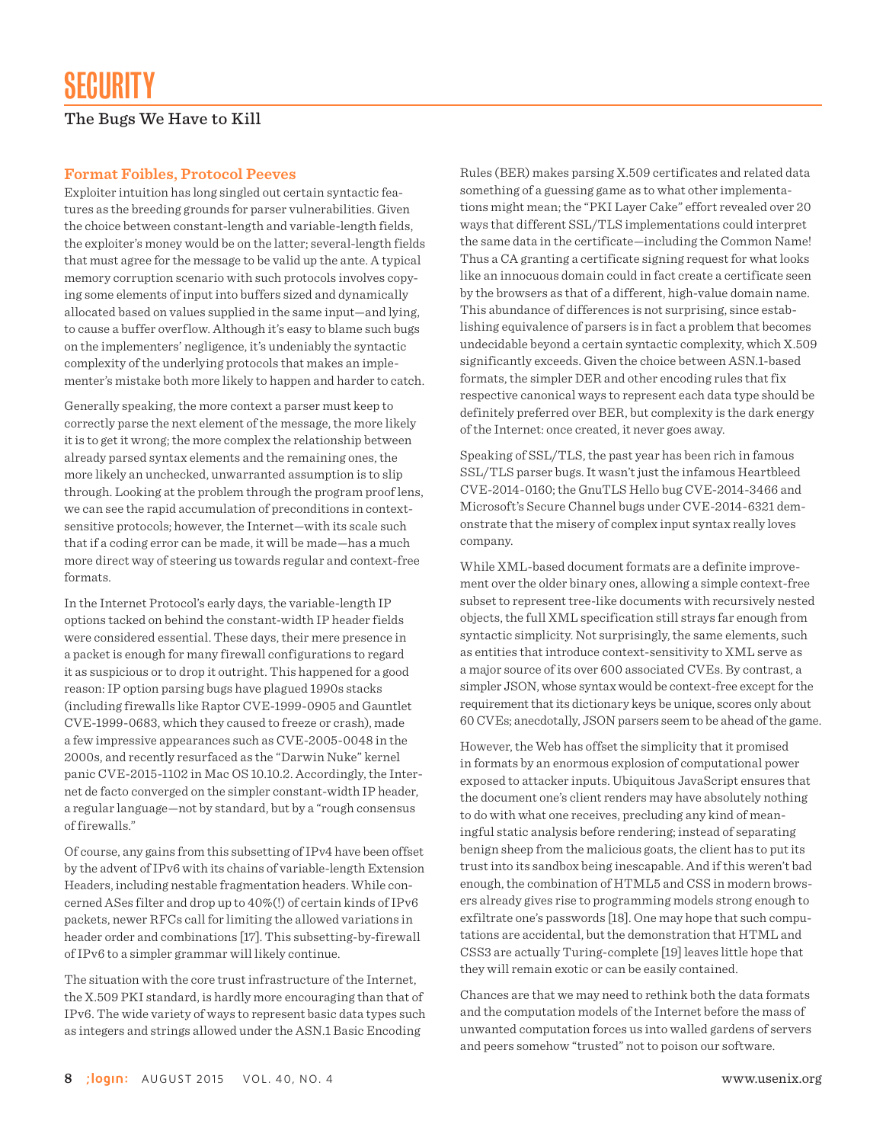#### **Format Foibles, Protocol Peeves**

Exploiter intuition has long singled out certain syntactic features as the breeding grounds for parser vulnerabilities. Given the choice between constant-length and variable-length fields, the exploiter's money would be on the latter; several-length fields that must agree for the message to be valid up the ante. A typical memory corruption scenario with such protocols involves copying some elements of input into buffers sized and dynamically allocated based on values supplied in the same input—and lying, to cause a buffer overflow. Although it's easy to blame such bugs on the implementers' negligence, it's undeniably the syntactic complexity of the underlying protocols that makes an implementer's mistake both more likely to happen and harder to catch.

Generally speaking, the more context a parser must keep to correctly parse the next element of the message, the more likely it is to get it wrong; the more complex the relationship between already parsed syntax elements and the remaining ones, the more likely an unchecked, unwarranted assumption is to slip through. Looking at the problem through the program proof lens, we can see the rapid accumulation of preconditions in contextsensitive protocols; however, the Internet—with its scale such that if a coding error can be made, it will be made—has a much more direct way of steering us towards regular and context-free formats.

In the Internet Protocol's early days, the variable-length IP options tacked on behind the constant-width IP header fields were considered essential. These days, their mere presence in a packet is enough for many firewall configurations to regard it as suspicious or to drop it outright. This happened for a good reason: IP option parsing bugs have plagued 1990s stacks (including firewalls like Raptor CVE-1999-0905 and Gauntlet CVE-1999-0683, which they caused to freeze or crash), made a few impressive appearances such as CVE-2005-0048 in the 2000s, and recently resurfaced as the "Darwin Nuke" kernel panic CVE-2015-1102 in Mac OS 10.10.2. Accordingly, the Internet de facto converged on the simpler constant-width IP header, a regular language—not by standard, but by a "rough consensus of firewalls."

Of course, any gains from this subsetting of IPv4 have been offset by the advent of IPv6 with its chains of variable-length Extension Headers, including nestable fragmentation headers. While concerned ASes filter and drop up to 40%(!) of certain kinds of IPv6 packets, newer RFCs call for limiting the allowed variations in header order and combinations [17]. This subsetting-by-firewall of IPv6 to a simpler grammar will likely continue.

The situation with the core trust infrastructure of the Internet, the X.509 PKI standard, is hardly more encouraging than that of IPv6. The wide variety of ways to represent basic data types such as integers and strings allowed under the ASN.1 Basic Encoding

Rules (BER) makes parsing X.509 certificates and related data something of a guessing game as to what other implementations might mean; the "PKI Layer Cake" effort revealed over 20 ways that different SSL/TLS implementations could interpret the same data in the certificate—including the Common Name! Thus a CA granting a certificate signing request for what looks like an innocuous domain could in fact create a certificate seen by the browsers as that of a different, high-value domain name. This abundance of differences is not surprising, since establishing equivalence of parsers is in fact a problem that becomes undecidable beyond a certain syntactic complexity, which X.509 significantly exceeds. Given the choice between ASN.1-based formats, the simpler DER and other encoding rules that fix respective canonical ways to represent each data type should be definitely preferred over BER, but complexity is the dark energy of the Internet: once created, it never goes away.

Speaking of SSL/TLS, the past year has been rich in famous SSL/TLS parser bugs. It wasn't just the infamous Heartbleed CVE-2014-0160; the GnuTLS Hello bug CVE-2014-3466 and Microsoft's Secure Channel bugs under CVE-2014-6321 demonstrate that the misery of complex input syntax really loves company.

While XML-based document formats are a definite improvement over the older binary ones, allowing a simple context-free subset to represent tree-like documents with recursively nested objects, the full XML specification still strays far enough from syntactic simplicity. Not surprisingly, the same elements, such as entities that introduce context-sensitivity to XML serve as a major source of its over 600 associated CVEs. By contrast, a simpler JSON, whose syntax would be context-free except for the requirement that its dictionary keys be unique, scores only about 60 CVEs; anecdotally, JSON parsers seem to be ahead of the game.

However, the Web has offset the simplicity that it promised in formats by an enormous explosion of computational power exposed to attacker inputs. Ubiquitous JavaScript ensures that the document one's client renders may have absolutely nothing to do with what one receives, precluding any kind of meaningful static analysis before rendering; instead of separating benign sheep from the malicious goats, the client has to put its trust into its sandbox being inescapable. And if this weren't bad enough, the combination of HTML5 and CSS in modern browsers already gives rise to programming models strong enough to exfiltrate one's passwords [18]. One may hope that such computations are accidental, but the demonstration that HTML and CSS3 are actually Turing-complete [19] leaves little hope that they will remain exotic or can be easily contained.

Chances are that we may need to rethink both the data formats and the computation models of the Internet before the mass of unwanted computation forces us into walled gardens of servers and peers somehow "trusted" not to poison our software.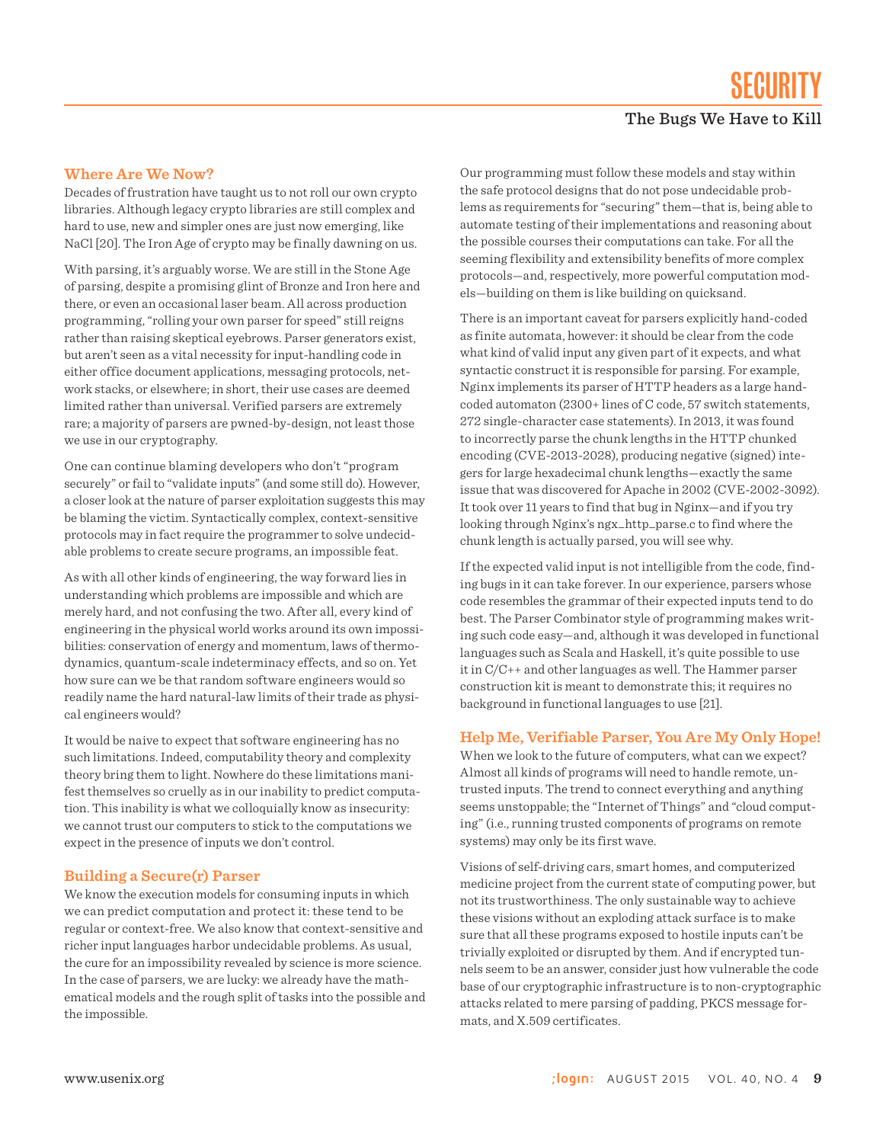#### **Where Are We Now?**

Decades of frustration have taught us to not roll our own crypto libraries. Although legacy crypto libraries are still complex and hard to use, new and simpler ones are just now emerging, like NaCl [20]. The Iron Age of crypto may be finally dawning on us.

With parsing, it's arguably worse. We are still in the Stone Age of parsing, despite a promising glint of Bronze and Iron here and there, or even an occasional laser beam. All across production programming, "rolling your own parser for speed" still reigns rather than raising skeptical eyebrows. Parser generators exist, but aren't seen as a vital necessity for input-handling code in either office document applications, messaging protocols, network stacks, or elsewhere; in short, their use cases are deemed limited rather than universal. Verified parsers are extremely rare; a majority of parsers are pwned-by-design, not least those we use in our cryptography.

One can continue blaming developers who don't "program securely" or fail to "validate inputs" (and some still do). However, a closer look at the nature of parser exploitation suggests this may be blaming the victim. Syntactically complex, context-sensitive protocols may in fact require the programmer to solve undecidable problems to create secure programs, an impossible feat.

As with all other kinds of engineering, the way forward lies in understanding which problems are impossible and which are merely hard, and not confusing the two. After all, every kind of engineering in the physical world works around its own impossibilities: conservation of energy and momentum, laws of thermodynamics, quantum-scale indeterminacy effects, and so on. Yet how sure can we be that random software engineers would so readily name the hard natural-law limits of their trade as physical engineers would?

It would be naive to expect that software engineering has no such limitations. Indeed, computability theory and complexity theory bring them to light. Nowhere do these limitations manifest themselves so cruelly as in our inability to predict computation. This inability is what we colloquially know as insecurity: we cannot trust our computers to stick to the computations we expect in the presence of inputs we don't control.

#### **Building a Secure(r) Parser**

We know the execution models for consuming inputs in which we can predict computation and protect it: these tend to be regular or context-free. We also know that context-sensitive and richer input languages harbor undecidable problems. As usual, the cure for an impossibility revealed by science is more science. In the case of parsers, we are lucky: we already have the mathematical models and the rough split of tasks into the possible and the impossible.

Our programming must follow these models and stay within the safe protocol designs that do not pose undecidable problems as requirements for "securing" them—that is, being able to automate testing of their implementations and reasoning about the possible courses their computations can take. For all the seeming flexibility and extensibility benefits of more complex protocols—and, respectively, more powerful computation models—building on them is like building on quicksand.

There is an important caveat for parsers explicitly hand-coded as finite automata, however: it should be clear from the code what kind of valid input any given part of it expects, and what syntactic construct it is responsible for parsing. For example, Nginx implements its parser of HTTP headers as a large handcoded automaton (2300+ lines of C code, 57 switch statements, 272 single-character case statements). In 2013, it was found to incorrectly parse the chunk lengths in the HTTP chunked encoding (CVE-2013-2028), producing negative (signed) integers for large hexadecimal chunk lengths—exactly the same issue that was discovered for Apache in 2002 (CVE-2002-3092). It took over 11 years to find that bug in Nginx—and if you try looking through Nginx's ngx\_http\_parse.c to find where the chunk length is actually parsed, you will see why.

If the expected valid input is not intelligible from the code, finding bugs in it can take forever. In our experience, parsers whose code resembles the grammar of their expected inputs tend to do best. The Parser Combinator style of programming makes writing such code easy—and, although it was developed in functional languages such as Scala and Haskell, it's quite possible to use it in C/C++ and other languages as well. The Hammer parser construction kit is meant to demonstrate this; it requires no background in functional languages to use [21].

#### **Help Me, Verifiable Parser, You Are My Only Hope!**

When we look to the future of computers, what can we expect? Almost all kinds of programs will need to handle remote, untrusted inputs. The trend to connect everything and anything seems unstoppable; the "Internet of Things" and "cloud computing" (i.e., running trusted components of programs on remote systems) may only be its first wave.

Visions of self-driving cars, smart homes, and computerized medicine project from the current state of computing power, but not its trustworthiness. The only sustainable way to achieve these visions without an exploding attack surface is to make sure that all these programs exposed to hostile inputs can't be trivially exploited or disrupted by them. And if encrypted tunnels seem to be an answer, consider just how vulnerable the code base of our cryptographic infrastructure is to non-cryptographic attacks related to mere parsing of padding, PKCS message formats, and X.509 certificates.